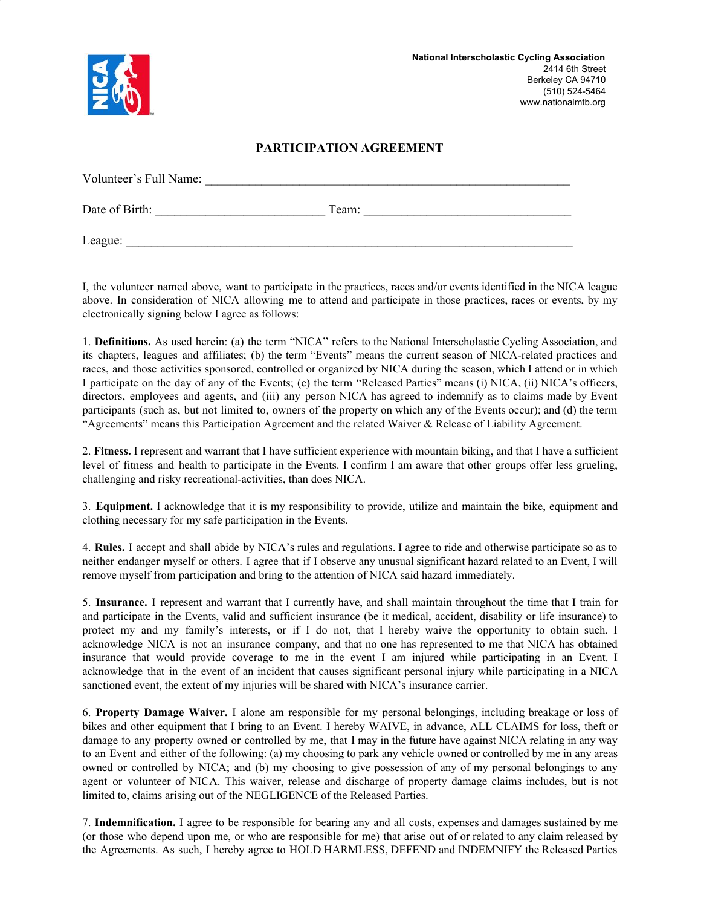

## **PARTICIPATION AGREEMENT**

| Volunteer's Full Name: |       |  |
|------------------------|-------|--|
| Date of Birth:         | Team: |  |
| League:                |       |  |

I, the volunteer named above, want to participate in the practices, races and/or events identified in the NICA league above. In consideration of NICA allowing me to attend and participate in those practices, races or events, by my electronically signing below I agree as follows:

1. **Definitions.** As used herein: (a) the term "NICA" refers to the National Interscholastic Cycling Association, and its chapters, leagues and affiliates; (b) the term "Events" means the current season of NICA-related practices and races, and those activities sponsored, controlled or organized by NICA during the season, which I attend or in which I participate on the day of any of the Events; (c) the term "Released Parties" means (i) NICA, (ii) NICA's officers, directors, employees and agents, and (iii) any person NICA has agreed to indemnify as to claims made by Event participants (such as, but not limited to, owners of the property on which any of the Events occur); and (d) the term "Agreements" means this Participation Agreement and the related Waiver & Release of Liability Agreement.

2. **Fitness.** I represent and warrant that I have sufficient experience with mountain biking, and that I have a sufficient level of fitness and health to participate in the Events. I confirm I am aware that other groups offer less grueling, challenging and risky recreational-activities, than does NICA.

3. **Equipment.** I acknowledge that it is my responsibility to provide, utilize and maintain the bike, equipment and clothing necessary for my safe participation in the Events.

4. **Rules.** I accept and shall abide by NICA's rules and regulations. I agree to ride and otherwise participate so as to neither endanger myself or others. I agree that if I observe any unusual significant hazard related to an Event, I will remove myself from participation and bring to the attention of NICA said hazard immediately.

5. **Insurance.** I represent and warrant that I currently have, and shall maintain throughout the time that I train for and participate in the Events, valid and sufficient insurance (be it medical, accident, disability or life insurance) to protect my and my family's interests, or if I do not, that I hereby waive the opportunity to obtain such. I acknowledge NICA is not an insurance company, and that no one has represented to me that NICA has obtained insurance that would provide coverage to me in the event I am injured while participating in an Event. I acknowledge that in the event of an incident that causes significant personal injury while participating in a NICA sanctioned event, the extent of my injuries will be shared with NICA's insurance carrier.

6. **Property Damage Waiver.** I alone am responsible for my personal belongings, including breakage or loss of bikes and other equipment that I bring to an Event. I hereby WAIVE, in advance, ALL CLAIMS for loss, theft or damage to any property owned or controlled by me, that I may in the future have against NICA relating in any way to an Event and either of the following: (a) my choosing to park any vehicle owned or controlled by me in any areas owned or controlled by NICA; and (b) my choosing to give possession of any of my personal belongings to any agent or volunteer of NICA. This waiver, release and discharge of property damage claims includes, but is not limited to, claims arising out of the NEGLIGENCE of the Released Parties.

7. **Indemnification.** I agree to be responsible for bearing any and all costs, expenses and damages sustained by me (or those who depend upon me, or who are responsible for me) that arise out of or related to any claim released by the Agreements. As such, I hereby agree to HOLD HARMLESS, DEFEND and INDEMNIFY the Released Parties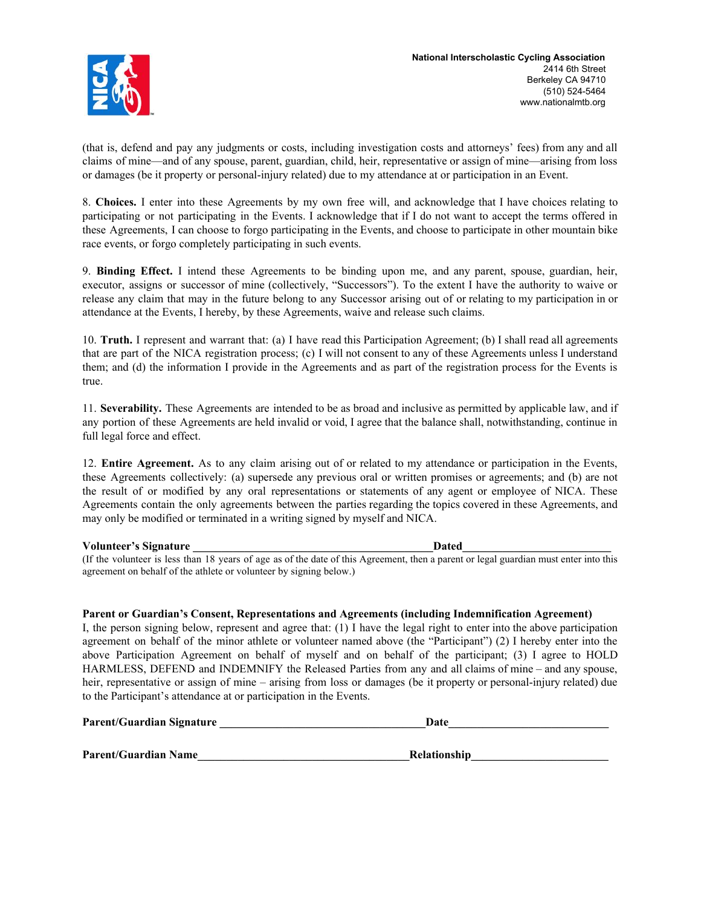

(that is, defend and pay any judgments or costs, including investigation costs and attorneys' fees) from any and all claims of mine—and of any spouse, parent, guardian, child, heir, representative or assign of mine—arising from loss or damages (be it property or personal-injury related) due to my attendance at or participation in an Event.

8. **Choices.** I enter into these Agreements by my own free will, and acknowledge that I have choices relating to participating or not participating in the Events. I acknowledge that if I do not want to accept the terms offered in these Agreements, I can choose to forgo participating in the Events, and choose to participate in other mountain bike race events, or forgo completely participating in such events.

9. **Binding Effect.** I intend these Agreements to be binding upon me, and any parent, spouse, guardian, heir, executor, assigns or successor of mine (collectively, "Successors"). To the extent I have the authority to waive or release any claim that may in the future belong to any Successor arising out of or relating to my participation in or attendance at the Events, I hereby, by these Agreements, waive and release such claims.

10. **Truth.** I represent and warrant that: (a) I have read this Participation Agreement; (b) I shall read all agreements that are part of the NICA registration process; (c) I will not consent to any of these Agreements unless I understand them; and (d) the information I provide in the Agreements and as part of the registration process for the Events is true.

11. **Severability.** These Agreements are intended to be as broad and inclusive as permitted by applicable law, and if any portion of these Agreements are held invalid or void, I agree that the balance shall, notwithstanding, continue in full legal force and effect.

12. **Entire Agreement.** As to any claim arising out of or related to my attendance or participation in the Events, these Agreements collectively: (a) supersede any previous oral or written promises or agreements; and (b) are not the result of or modified by any oral representations or statements of any agent or employee of NICA. These Agreements contain the only agreements between the parties regarding the topics covered in these Agreements, and may only be modified or terminated in a writing signed by myself and NICA.

#### **Volunteer's Signature \_\_\_\_\_\_\_\_\_\_\_\_\_\_\_\_\_\_\_\_\_\_\_\_\_\_\_\_\_\_\_\_\_\_\_\_\_\_\_\_\_\_Dated\_\_\_\_\_\_\_\_\_\_\_\_\_\_\_\_\_\_\_\_\_\_\_\_\_\_**

(If the volunteer is less than 18 years of age as of the date of this Agreement, then a parent or legal guardian must enter into this agreement on behalf of the athlete or volunteer by signing below.)

#### **Parent or Guardian's Consent, Representations and Agreements (including Indemnification Agreement)**

I, the person signing below, represent and agree that: (1) I have the legal right to enter into the above participation agreement on behalf of the minor athlete or volunteer named above (the "Participant") (2) I hereby enter into the above Participation Agreement on behalf of myself and on behalf of the participant; (3) I agree to HOLD HARMLESS, DEFEND and INDEMNIFY the Released Parties from any and all claims of mine – and any spouse, heir, representative or assign of mine – arising from loss or damages (be it property or personal-injury related) due to the Participant's attendance at or participation in the Events.

| <b>Parent/Guardian Signature</b> | Date |
|----------------------------------|------|
|                                  |      |

Parent/Guardian Name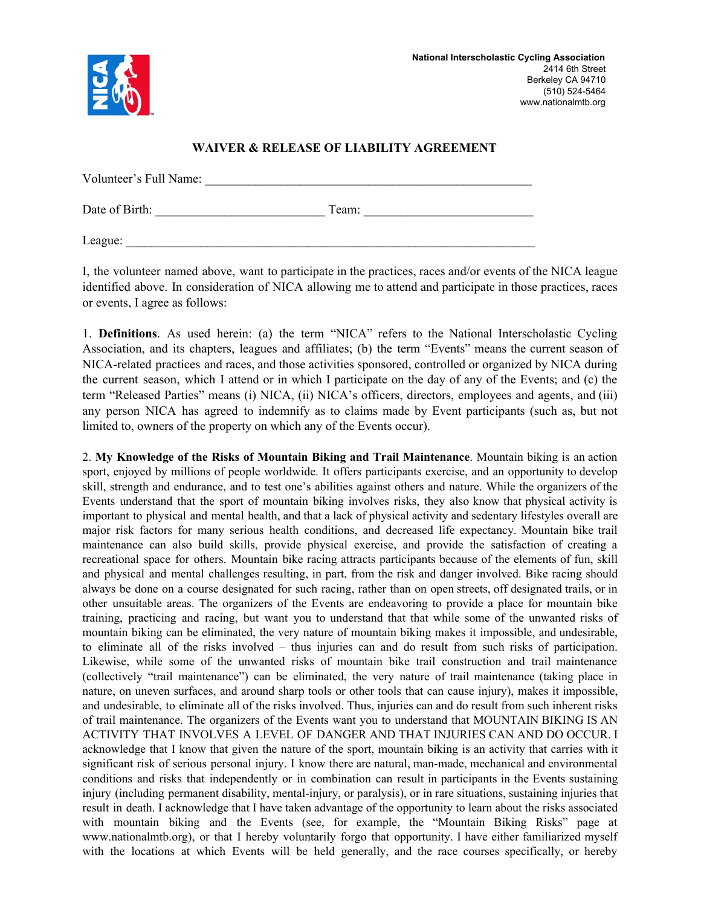

# **WAIVER & RELEASE OF LIABILITY AGREEMENT**

| Volunteer's Full Name: |       |  |
|------------------------|-------|--|
| Date of Birth:         | Team: |  |
| League:                |       |  |

I, the volunteer named above, want to participate in the practices, races and/or events of the NICA league identified above. In consideration of NICA allowing me to attend and participate in those practices, races or events, I agree as follows:

1. **Definitions**. As used herein: (a) the term "NICA" refers to the National Interscholastic Cycling Association, and its chapters, leagues and affiliates; (b) the term "Events" means the current season of NICA-related practices and races, and those activities sponsored, controlled or organized by NICA during the current season, which I attend or in which I participate on the day of any of the Events; and (c) the term "Released Parties" means (i) NICA, (ii) NICA's officers, directors, employees and agents, and (iii) any person NICA has agreed to indemnify as to claims made by Event participants (such as, but not limited to, owners of the property on which any of the Events occur).

2. **My Knowledge of the Risks of Mountain Biking and Trail Maintenance**. Mountain biking is an action sport, enjoyed by millions of people worldwide. It offers participants exercise, and an opportunity to develop skill, strength and endurance, and to test one's abilities against others and nature. While the organizers of the Events understand that the sport of mountain biking involves risks, they also know that physical activity is important to physical and mental health, and that a lack of physical activity and sedentary lifestyles overall are major risk factors for many serious health conditions, and decreased life expectancy. Mountain bike trail maintenance can also build skills, provide physical exercise, and provide the satisfaction of creating a recreational space for others. Mountain bike racing attracts participants because of the elements of fun, skill and physical and mental challenges resulting, in part, from the risk and danger involved. Bike racing should always be done on a course designated for such racing, rather than on open streets, off designated trails, or in other unsuitable areas. The organizers of the Events are endeavoring to provide a place for mountain bike training, practicing and racing, but want you to understand that that while some of the unwanted risks of mountain biking can be eliminated, the very nature of mountain biking makes it impossible, and undesirable, to eliminate all of the risks involved – thus injuries can and do result from such risks of participation. Likewise, while some of the unwanted risks of mountain bike trail construction and trail maintenance (collectively "trail maintenance") can be eliminated, the very nature of trail maintenance (taking place in nature, on uneven surfaces, and around sharp tools or other tools that can cause injury), makes it impossible, and undesirable, to eliminate all of the risks involved. Thus, injuries can and do result from such inherent risks of trail maintenance. The organizers of the Events want you to understand that MOUNTAIN BIKING IS AN ACTIVITY THAT INVOLVES A LEVEL OF DANGER AND THAT INJURIES CAN AND DO OCCUR. I acknowledge that I know that given the nature of the sport, mountain biking is an activity that carries with it significant risk of serious personal injury. I know there are natural, man-made, mechanical and environmental conditions and risks that independently or in combination can result in participants in the Events sustaining injury (including permanent disability, mental-injury, or paralysis), or in rare situations, sustaining injuries that result in death. I acknowledge that I have taken advantage of the opportunity to learn about the risks associated with mountain biking and the Events (see, for example, the "Mountain Biking Risks" page at www.nationalmtb.org), or that I hereby voluntarily forgo that opportunity. I have either familiarized myself with the locations at which Events will be held generally, and the race courses specifically, or hereby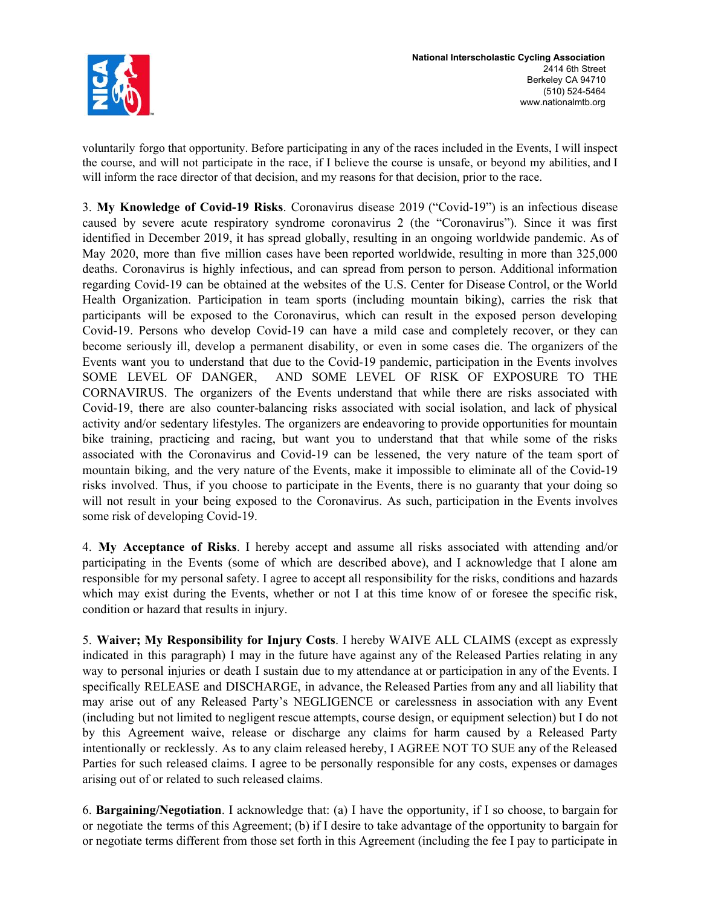

voluntarily forgo that opportunity. Before participating in any of the races included in the Events, I will inspect the course, and will not participate in the race, if I believe the course is unsafe, or beyond my abilities, and I will inform the race director of that decision, and my reasons for that decision, prior to the race.

3. **My Knowledge of Covid-19 Risks**. Coronavirus disease 2019 ("Covid-19") is an infectious disease caused by severe acute respiratory syndrome coronavirus 2 (the "Coronavirus"). Since it was first identified in December 2019, it has spread globally, resulting in an ongoing worldwide pandemic. As of May 2020, more than five million cases have been reported worldwide, resulting in more than 325,000 deaths. Coronavirus is highly infectious, and can spread from person to person. Additional information regarding Covid-19 can be obtained at the websites of the U.S. Center for Disease Control, or the World Health Organization. Participation in team sports (including mountain biking), carries the risk that participants will be exposed to the Coronavirus, which can result in the exposed person developing Covid-19. Persons who develop Covid-19 can have a mild case and completely recover, or they can become seriously ill, develop a permanent disability, or even in some cases die. The organizers of the Events want you to understand that due to the Covid-19 pandemic, participation in the Events involves SOME LEVEL OF DANGER, AND SOME LEVEL OF RISK OF EXPOSURE TO THE CORNAVIRUS. The organizers of the Events understand that while there are risks associated with Covid-19, there are also counter-balancing risks associated with social isolation, and lack of physical activity and/or sedentary lifestyles. The organizers are endeavoring to provide opportunities for mountain bike training, practicing and racing, but want you to understand that that while some of the risks associated with the Coronavirus and Covid-19 can be lessened, the very nature of the team sport of mountain biking, and the very nature of the Events, make it impossible to eliminate all of the Covid-19 risks involved. Thus, if you choose to participate in the Events, there is no guaranty that your doing so will not result in your being exposed to the Coronavirus. As such, participation in the Events involves some risk of developing Covid-19.

4. **My Acceptance of Risks**. I hereby accept and assume all risks associated with attending and/or participating in the Events (some of which are described above), and I acknowledge that I alone am responsible for my personal safety. I agree to accept all responsibility for the risks, conditions and hazards which may exist during the Events, whether or not I at this time know of or foresee the specific risk, condition or hazard that results in injury.

5. **Waiver; My Responsibility for Injury Costs**. I hereby WAIVE ALL CLAIMS (except as expressly indicated in this paragraph) I may in the future have against any of the Released Parties relating in any way to personal injuries or death I sustain due to my attendance at or participation in any of the Events. I specifically RELEASE and DISCHARGE, in advance, the Released Parties from any and all liability that may arise out of any Released Party's NEGLIGENCE or carelessness in association with any Event (including but not limited to negligent rescue attempts, course design, or equipment selection) but I do not by this Agreement waive, release or discharge any claims for harm caused by a Released Party intentionally or recklessly. As to any claim released hereby, I AGREE NOT TO SUE any of the Released Parties for such released claims. I agree to be personally responsible for any costs, expenses or damages arising out of or related to such released claims.

6. **Bargaining/Negotiation**. I acknowledge that: (a) I have the opportunity, if I so choose, to bargain for or negotiate the terms of this Agreement; (b) if I desire to take advantage of the opportunity to bargain for or negotiate terms different from those set forth in this Agreement (including the fee I pay to participate in